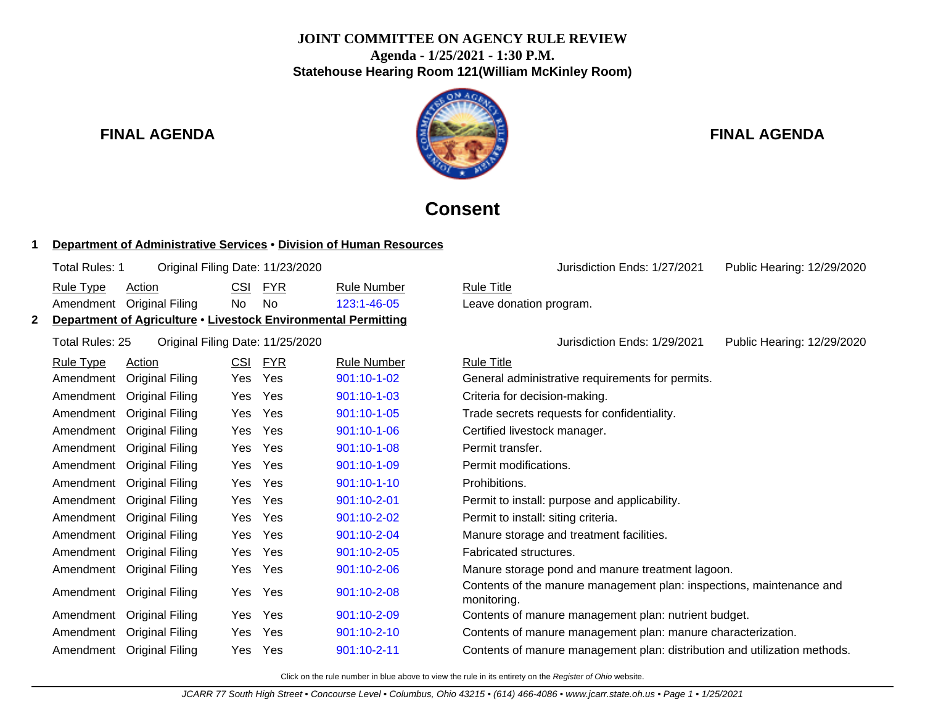## **JOINT COMMITTEE ON AGENCY RULE REVIEW Agenda - 1/25/2021 - 1:30 P.M. Statehouse Hearing Room 121(William McKinley Room)**



## **FINAL AGENDA FINAL AGENDA**

Jurisdiction Ends: 1/27/2021 Public Hearing: 12/29/2020

# **Consent**

Leave donation program.

## **1 Department of Administrative Services** • **Division of Human Resources**

|                  | Department of Agriculture • Livestock Environmental Permitting |     |         |                    |                   |
|------------------|----------------------------------------------------------------|-----|---------|--------------------|-------------------|
|                  | Amendment Original Filing                                      | No. | - No    | $123:1 - 46 - 05$  | Leave do          |
| <u>Rule Type</u> | Action                                                         |     | CSI FYR | <b>Rule Number</b> | <b>Rule Title</b> |
| Total Rules: 1   | Original Filing Date: 11/23/2020                               |     |         |                    |                   |

Total Rules: 25 Original Filing Date: 11/25/2020 Jurisdiction Ends: 1/29/2021 Public Hearing: 12/29/2020

| <b>Rule Type</b> | Action                 | <u>CSI</u> | <b>FYR</b> | <b>Rule Number</b> | <b>Rule Title</b>                                                                   |
|------------------|------------------------|------------|------------|--------------------|-------------------------------------------------------------------------------------|
| Amendment        | Original Filing        | Yes        | <b>Yes</b> | 901:10-1-02        | General administrative requirements for permits.                                    |
| Amendment        | Original Filing        | Yes        | <b>Yes</b> | 901:10-1-03        | Criteria for decision-making.                                                       |
| Amendment        | Original Filing        | Yes        | <b>Yes</b> | 901:10-1-05        | Trade secrets requests for confidentiality.                                         |
| Amendment        | Original Filing        | Yes        | <b>Yes</b> | 901:10-1-06        | Certified livestock manager.                                                        |
| Amendment        | <b>Original Filing</b> | Yes        | <b>Yes</b> | $901:10-1-08$      | Permit transfer.                                                                    |
| Amendment        | <b>Original Filing</b> | Yes        | <b>Yes</b> | 901:10-1-09        | Permit modifications.                                                               |
| Amendment        | <b>Original Filing</b> | Yes        | Yes        | $901:10-1-10$      | Prohibitions.                                                                       |
| Amendment        | Original Filing        | Yes        | <b>Yes</b> | $901:10 - 2 - 01$  | Permit to install: purpose and applicability.                                       |
| Amendment        | Original Filing        | Yes        | <b>Yes</b> | $901:10 - 2 - 02$  | Permit to install: siting criteria.                                                 |
| Amendment        | <b>Original Filing</b> | Yes        | <b>Yes</b> | $901:10 - 2 - 04$  | Manure storage and treatment facilities.                                            |
| Amendment        | Original Filing        | Yes        | Yes        | 901:10-2-05        | Fabricated structures.                                                              |
| Amendment        | <b>Original Filing</b> | Yes        | Yes        | 901:10-2-06        | Manure storage pond and manure treatment lagoon.                                    |
| Amendment        | <b>Original Filing</b> | Yes        | Yes        | 901:10-2-08        | Contents of the manure management plan: inspections, maintenance and<br>monitoring. |
| Amendment        | Original Filing        | Yes        | Yes        | 901:10-2-09        | Contents of manure management plan: nutrient budget.                                |
| Amendment        | Original Filing        | Yes        | Yes        | 901:10-2-10        | Contents of manure management plan: manure characterization.                        |
| Amendment        | Original Filing        | Yes        | Yes        | 901:10-2-11        | Contents of manure management plan: distribution and utilization methods.           |

Click on the rule number in blue above to view the rule in its entirety on the Register of Ohio website.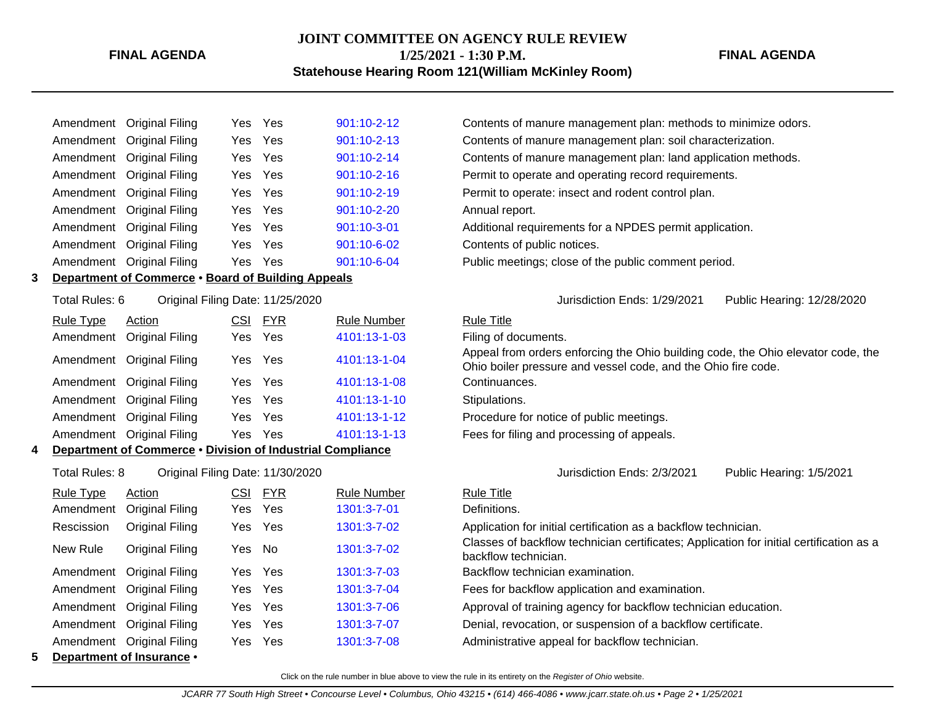#### **FINAL AGENDA**

## **JOINT COMMITTEE ON AGENCY RULE REVIEW 1/25/2021 - 1:30 P.M.**

### **FINAL AGENDA**

| <b>Statehouse Hearing Room 121 (William McKinley Room)</b> |  |  |  |
|------------------------------------------------------------|--|--|--|
|------------------------------------------------------------|--|--|--|

|                                                    | Amendment Original Filing |  | Yes Yes | 901:10-2-12       |  |  |  |  |  |
|----------------------------------------------------|---------------------------|--|---------|-------------------|--|--|--|--|--|
|                                                    | Amendment Original Filing |  | Yes Yes | 901:10-2-13       |  |  |  |  |  |
|                                                    | Amendment Original Filing |  | Yes Yes | $901:10 - 2 - 14$ |  |  |  |  |  |
|                                                    | Amendment Original Filing |  | Yes Yes | 901:10-2-16       |  |  |  |  |  |
|                                                    | Amendment Original Filing |  | Yes Yes | $901:10 - 2 - 19$ |  |  |  |  |  |
|                                                    | Amendment Original Filing |  | Yes Yes | $901:10 - 2 - 20$ |  |  |  |  |  |
|                                                    | Amendment Original Filing |  | Yes Yes | 901:10-3-01       |  |  |  |  |  |
|                                                    | Amendment Original Filing |  | Yes Yes | 901:10-6-02       |  |  |  |  |  |
|                                                    | Amendment Original Filing |  | Yes Yes | 901:10-6-04       |  |  |  |  |  |
| Donartmont of Commorce . Board of Building Annoale |                           |  |         |                   |  |  |  |  |  |

**3 Department of Commerce** • **Board of Building Appeals**

| Rule Type | Action                    | CSI. | <b>FYR</b> | <b>Rule Number</b> | <b>Rule Title</b>        |
|-----------|---------------------------|------|------------|--------------------|--------------------------|
|           | Amendment Original Filing |      | Yes Yes    | 4101:13-1-03       | Filing of d              |
|           | Amendment Original Filing |      | Yes Yes    | 4101:13-1-04       | Appeal fro<br>Ohio boile |
|           | Amendment Original Filing |      | Yes Yes    | 4101:13-1-08       | Continuar                |
|           | Amendment Original Filing |      | Yes Yes    | 4101:13-1-10       | Stipulatio               |
|           | Amendment Original Filing |      | Yes Yes    | 4101:13-1-12       | Procedure                |
|           | Amendment Original Filing |      | Yes Yes    | 4101:13-1-13       | Fees for f               |
|           |                           |      |            |                    |                          |

## **4 Department of Commerce** • **Division of Industrial Compliance**

Total Rules: 8 Original Filing Date: 11/30/2020 Jurisdiction Ends: 2/3/2021 Public Hearing: 1/5/2021

|   | <u>Rule Type</u> | Action                    | <b>CSI</b> | <b>FYR</b> | <b>Rule Number</b> | <b>Rule Title</b>         |
|---|------------------|---------------------------|------------|------------|--------------------|---------------------------|
|   | Amendment        | Original Filing           |            | Yes Yes    | 1301:3-7-01        | Definitions.              |
|   | Rescission       | Original Filing           | Yes Yes    |            | 1301:3-7-02        | Application               |
|   | New Rule         | Original Filing           | Yes No     |            | 1301:3-7-02        | Classes of<br>backflow te |
|   |                  | Amendment Original Filing | Yes Yes    |            | 1301:3-7-03        | Backflow te               |
|   |                  | Amendment Original Filing |            | Yes Yes    | 1301:3-7-04        | Fees for ba               |
|   |                  | Amendment Original Filing | Yes Yes    |            | 1301:3-7-06        | Approval of               |
|   |                  | Amendment Original Filing | Yes Yes    |            | 1301:3-7-07        | Denial, reve              |
|   |                  | Amendment Original Filing |            | Yes Yes    | 1301:3-7-08        | Administrat               |
| 5 |                  | Department of Insurance • |            |            |                    |                           |

Contents of manure management plan: methods to minimize odors. Contents of manure management plan: soil characterization. Contents of manure management plan: land application methods. Permit to operate and operating record requirements. Permit to operate: insect and rodent control plan. Annual report. Additional requirements for a NPDES permit application. Contents of public notices.

Public meetings; close of the public comment period.

### Total Rules: 6 Original Filing Date: 11/25/2020 Jurisdiction Ends: 1/29/2021 Public Hearing: 12/28/2020

Filing of documents.

Appeal from orders enforcing the Ohio building code, the Ohio elevator code, the Ohio boiler pressure and vessel code, and the Ohio fire code.

Continuances.

Stipulations.

Procedure for notice of public meetings.

Fees for filing and processing of appeals.

Application for initial certification as a backflow technician.

Classes of backflow technician certificates; Application for initial certification as a backflow technician.

Backflow technician examination.

Fees for backflow application and examination.

Approval of training agency for backflow technician education.

Denial, revocation, or suspension of a backflow certificate.

Administrative appeal for backflow technician.

Click on the rule number in blue above to view the rule in its entirety on the Register of Ohio website.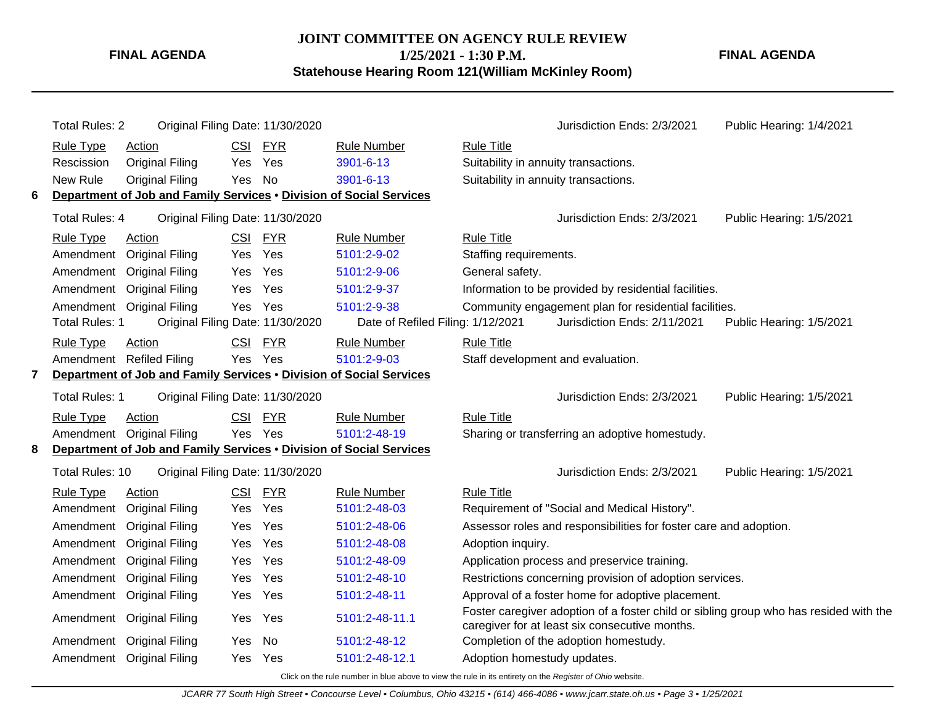**FINAL AGENDA**

**JOINT COMMITTEE ON AGENCY RULE REVIEW 1/25/2021 - 1:30 P.M. Statehouse Hearing Room 121(William McKinley Room)**

**FINAL AGENDA**

|                | <b>Total Rules: 2</b> | Original Filing Date: 11/30/2020                                    |            |            |                                   |                                                                                                                                         | Jurisdiction Ends: 2/3/2021                                       | Public Hearing: 1/4/2021 |
|----------------|-----------------------|---------------------------------------------------------------------|------------|------------|-----------------------------------|-----------------------------------------------------------------------------------------------------------------------------------------|-------------------------------------------------------------------|--------------------------|
|                | <b>Rule Type</b>      | Action                                                              | <b>CSI</b> | <b>FYR</b> | <b>Rule Number</b>                | <b>Rule Title</b>                                                                                                                       |                                                                   |                          |
|                | Rescission            | <b>Original Filing</b>                                              | Yes        | Yes        | 3901-6-13                         | Suitability in annuity transactions.                                                                                                    |                                                                   |                          |
|                | New Rule              | <b>Original Filing</b>                                              | Yes        | <b>No</b>  | 3901-6-13                         | Suitability in annuity transactions.                                                                                                    |                                                                   |                          |
| 6              |                       | Department of Job and Family Services . Division of Social Services |            |            |                                   |                                                                                                                                         |                                                                   |                          |
|                | <b>Total Rules: 4</b> | Original Filing Date: 11/30/2020                                    |            |            |                                   |                                                                                                                                         | Jurisdiction Ends: 2/3/2021                                       | Public Hearing: 1/5/2021 |
|                | <b>Rule Type</b>      | Action                                                              | <b>CSI</b> | <b>FYR</b> | <b>Rule Number</b>                | <b>Rule Title</b>                                                                                                                       |                                                                   |                          |
|                | Amendment             | <b>Original Filing</b>                                              | Yes.       | Yes        | 5101:2-9-02                       | Staffing requirements.                                                                                                                  |                                                                   |                          |
|                |                       | Amendment Original Filing                                           | Yes        | Yes        | 5101:2-9-06                       | General safety.                                                                                                                         |                                                                   |                          |
|                |                       | Amendment Original Filing                                           | Yes        | Yes        | 5101:2-9-37                       |                                                                                                                                         | Information to be provided by residential facilities.             |                          |
|                |                       | Amendment Original Filing                                           | Yes        | Yes        | 5101:2-9-38                       |                                                                                                                                         | Community engagement plan for residential facilities.             |                          |
|                | <b>Total Rules: 1</b> | Original Filing Date: 11/30/2020                                    |            |            | Date of Refiled Filing: 1/12/2021 |                                                                                                                                         | Jurisdiction Ends: 2/11/2021                                      | Public Hearing: 1/5/2021 |
|                | <b>Rule Type</b>      | Action                                                              | <b>CSI</b> | <b>FYR</b> | <b>Rule Number</b>                | <b>Rule Title</b>                                                                                                                       |                                                                   |                          |
|                |                       | Amendment Refiled Filing                                            |            | Yes Yes    | 5101:2-9-03                       |                                                                                                                                         | Staff development and evaluation.                                 |                          |
| $\overline{7}$ |                       | Department of Job and Family Services . Division of Social Services |            |            |                                   |                                                                                                                                         |                                                                   |                          |
|                | <b>Total Rules: 1</b> | Original Filing Date: 11/30/2020                                    |            |            |                                   |                                                                                                                                         | Jurisdiction Ends: 2/3/2021                                       | Public Hearing: 1/5/2021 |
|                | <b>Rule Type</b>      | Action                                                              | <b>CSI</b> | <b>FYR</b> | <b>Rule Number</b>                | <b>Rule Title</b>                                                                                                                       |                                                                   |                          |
|                |                       | Amendment Original Filing                                           |            | Yes Yes    | 5101:2-48-19                      |                                                                                                                                         | Sharing or transferring an adoptive homestudy.                    |                          |
| 8              |                       | Department of Job and Family Services . Division of Social Services |            |            |                                   |                                                                                                                                         |                                                                   |                          |
|                | Total Rules: 10       | Original Filing Date: 11/30/2020                                    |            |            |                                   |                                                                                                                                         | Jurisdiction Ends: 2/3/2021                                       | Public Hearing: 1/5/2021 |
|                | <b>Rule Type</b>      | Action                                                              | <b>CSI</b> | <b>FYR</b> | <b>Rule Number</b>                | <b>Rule Title</b>                                                                                                                       |                                                                   |                          |
|                | Amendment             | <b>Original Filing</b>                                              | Yes        | Yes        | 5101:2-48-03                      |                                                                                                                                         | Requirement of "Social and Medical History".                      |                          |
|                | Amendment             | <b>Original Filing</b>                                              | Yes        | Yes        | 5101:2-48-06                      |                                                                                                                                         | Assessor roles and responsibilities for foster care and adoption. |                          |
|                | Amendment             | <b>Original Filing</b>                                              | Yes        | Yes        | 5101:2-48-08                      | Adoption inquiry.                                                                                                                       |                                                                   |                          |
|                | Amendment             | <b>Original Filing</b>                                              | Yes        | Yes        | 5101:2-48-09                      |                                                                                                                                         | Application process and preservice training.                      |                          |
|                | Amendment             | <b>Original Filing</b>                                              | Yes        | Yes        | 5101:2-48-10                      |                                                                                                                                         | Restrictions concerning provision of adoption services.           |                          |
|                |                       | Amendment Original Filing                                           | Yes        | Yes        | 5101:2-48-11                      | Approval of a foster home for adoptive placement.                                                                                       |                                                                   |                          |
|                |                       | Amendment Original Filing                                           | Yes        | Yes        | 5101:2-48-11.1                    | Foster caregiver adoption of a foster child or sibling group who has resided with the<br>caregiver for at least six consecutive months. |                                                                   |                          |
|                | Amendment             | <b>Original Filing</b>                                              | Yes        | <b>No</b>  | 5101:2-48-12                      |                                                                                                                                         | Completion of the adoption homestudy.                             |                          |
|                |                       | Amendment Original Filing                                           | Yes        | Yes        | 5101:2-48-12.1                    | Adoption homestudy updates.                                                                                                             |                                                                   |                          |
|                |                       |                                                                     |            |            |                                   |                                                                                                                                         |                                                                   |                          |

Click on the rule number in blue above to view the rule in its entirety on the Register of Ohio website.

JCARR 77 South High Street • Concourse Level • Columbus, Ohio 43215 • (614) 466-4086 • www.jcarr.state.oh.us • Page 3 • 1/25/2021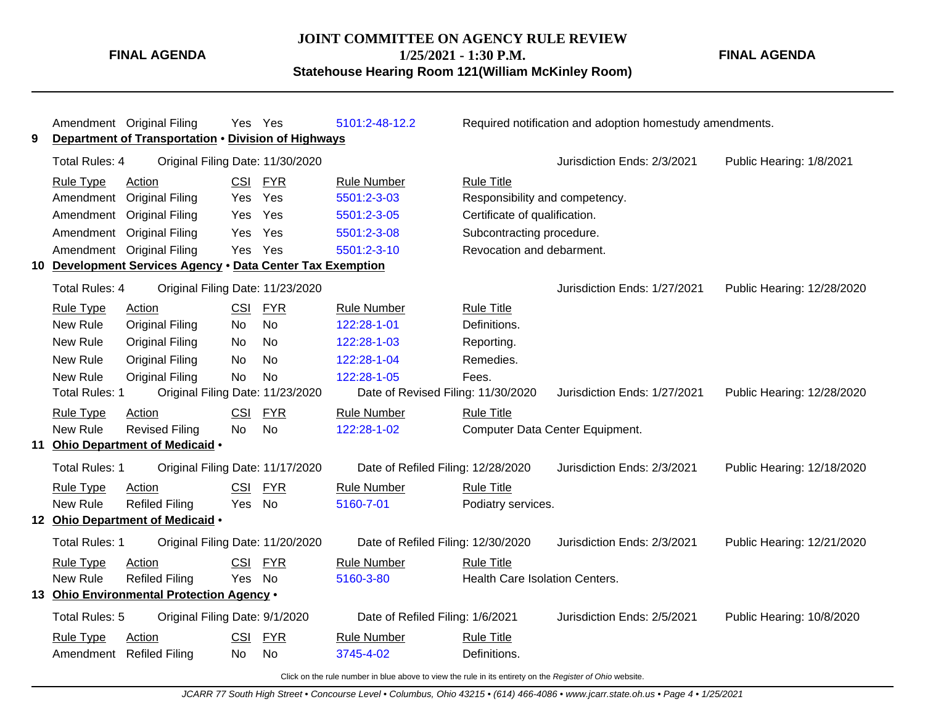### **JOINT COMMITTEE ON AGENCY RULE REVIEW**

**FINAL AGENDA**

**1/25/2021 - 1:30 P.M.**

**Statehouse Hearing Room 121(William McKinley Room)**

**FINAL AGENDA**

| 9 |                       | Amendment Original Filing<br>Department of Transportation . Division of Highways |            | Yes Yes    | 5101:2-48-12.2                     |                                | Required notification and adoption homestudy amendments. |                            |
|---|-----------------------|----------------------------------------------------------------------------------|------------|------------|------------------------------------|--------------------------------|----------------------------------------------------------|----------------------------|
|   | <b>Total Rules: 4</b> | Original Filing Date: 11/30/2020                                                 |            |            |                                    |                                | Jurisdiction Ends: 2/3/2021                              | Public Hearing: 1/8/2021   |
|   | <b>Rule Type</b>      | Action                                                                           |            | CSI FYR    | <b>Rule Number</b>                 | <b>Rule Title</b>              |                                                          |                            |
|   | Amendment             | <b>Original Filing</b>                                                           | Yes        | Yes        | 5501:2-3-03                        | Responsibility and competency. |                                                          |                            |
|   | Amendment             | <b>Original Filing</b>                                                           | Yes        | Yes        | 5501:2-3-05                        | Certificate of qualification.  |                                                          |                            |
|   | Amendment             | <b>Original Filing</b>                                                           | Yes        | Yes        | 5501:2-3-08                        | Subcontracting procedure.      |                                                          |                            |
|   |                       | Amendment Original Filing                                                        | Yes        | Yes        | 5501:2-3-10                        | Revocation and debarment.      |                                                          |                            |
|   |                       | 10 Development Services Agency . Data Center Tax Exemption                       |            |            |                                    |                                |                                                          |                            |
|   | Total Rules: 4        | Original Filing Date: 11/23/2020                                                 |            |            |                                    |                                | Jurisdiction Ends: 1/27/2021                             | Public Hearing: 12/28/2020 |
|   | <b>Rule Type</b>      | Action                                                                           | <b>CSI</b> | <b>FYR</b> | <b>Rule Number</b>                 | <b>Rule Title</b>              |                                                          |                            |
|   | New Rule              | <b>Original Filing</b>                                                           | <b>No</b>  | <b>No</b>  | 122:28-1-01                        | Definitions.                   |                                                          |                            |
|   | New Rule              | <b>Original Filing</b>                                                           | No         | <b>No</b>  | 122:28-1-03                        | Reporting.                     |                                                          |                            |
|   | New Rule              | <b>Original Filing</b>                                                           | No         | No         | 122:28-1-04                        | Remedies.                      |                                                          |                            |
|   | New Rule              | <b>Original Filing</b>                                                           | No         | <b>No</b>  | 122:28-1-05                        | Fees.                          |                                                          |                            |
|   | Total Rules: 1        | Original Filing Date: 11/23/2020                                                 |            |            | Date of Revised Filing: 11/30/2020 |                                | Jurisdiction Ends: 1/27/2021                             | Public Hearing: 12/28/2020 |
|   | <b>Rule Type</b>      | Action                                                                           | <b>CSI</b> | <b>FYR</b> | <b>Rule Number</b>                 | <b>Rule Title</b>              |                                                          |                            |
|   | New Rule              | <b>Revised Filing</b>                                                            | <b>No</b>  | <b>No</b>  | 122:28-1-02                        |                                | Computer Data Center Equipment.                          |                            |
|   |                       | 11 Ohio Department of Medicaid .                                                 |            |            |                                    |                                |                                                          |                            |
|   | <b>Total Rules: 1</b> | Original Filing Date: 11/17/2020                                                 |            |            | Date of Refiled Filing: 12/28/2020 |                                | Jurisdiction Ends: 2/3/2021                              | Public Hearing: 12/18/2020 |
|   | Rule Type             | Action                                                                           | <b>CSI</b> | <b>FYR</b> | <b>Rule Number</b>                 | <b>Rule Title</b>              |                                                          |                            |
|   | New Rule              | <b>Refiled Filing</b>                                                            | Yes        | No         | 5160-7-01                          | Podiatry services.             |                                                          |                            |
|   |                       | 12 Ohio Department of Medicaid .                                                 |            |            |                                    |                                |                                                          |                            |
|   | <b>Total Rules: 1</b> | Original Filing Date: 11/20/2020                                                 |            |            | Date of Refiled Filing: 12/30/2020 |                                | Jurisdiction Ends: 2/3/2021                              | Public Hearing: 12/21/2020 |
|   | Rule Type             | Action                                                                           | <b>CSI</b> | <b>FYR</b> | <b>Rule Number</b>                 | <b>Rule Title</b>              |                                                          |                            |
|   | New Rule              | <b>Refiled Filing</b>                                                            | Yes No     |            | 5160-3-80                          | Health Care Isolation Centers. |                                                          |                            |
|   |                       | 13 Ohio Environmental Protection Agency .                                        |            |            |                                    |                                |                                                          |                            |
|   | Total Rules: 5        | Original Filing Date: 9/1/2020                                                   |            |            | Date of Refiled Filing: 1/6/2021   |                                | Jurisdiction Ends: 2/5/2021                              | Public Hearing: 10/8/2020  |
|   | <b>Rule Type</b>      | Action                                                                           | <b>CSI</b> | <b>FYR</b> | <b>Rule Number</b>                 | <b>Rule Title</b>              |                                                          |                            |
|   |                       | Amendment Refiled Filing                                                         | No.        | No         | 3745-4-02                          | Definitions.                   |                                                          |                            |

Click on the rule number in blue above to view the rule in its entirety on the Register of Ohio website.